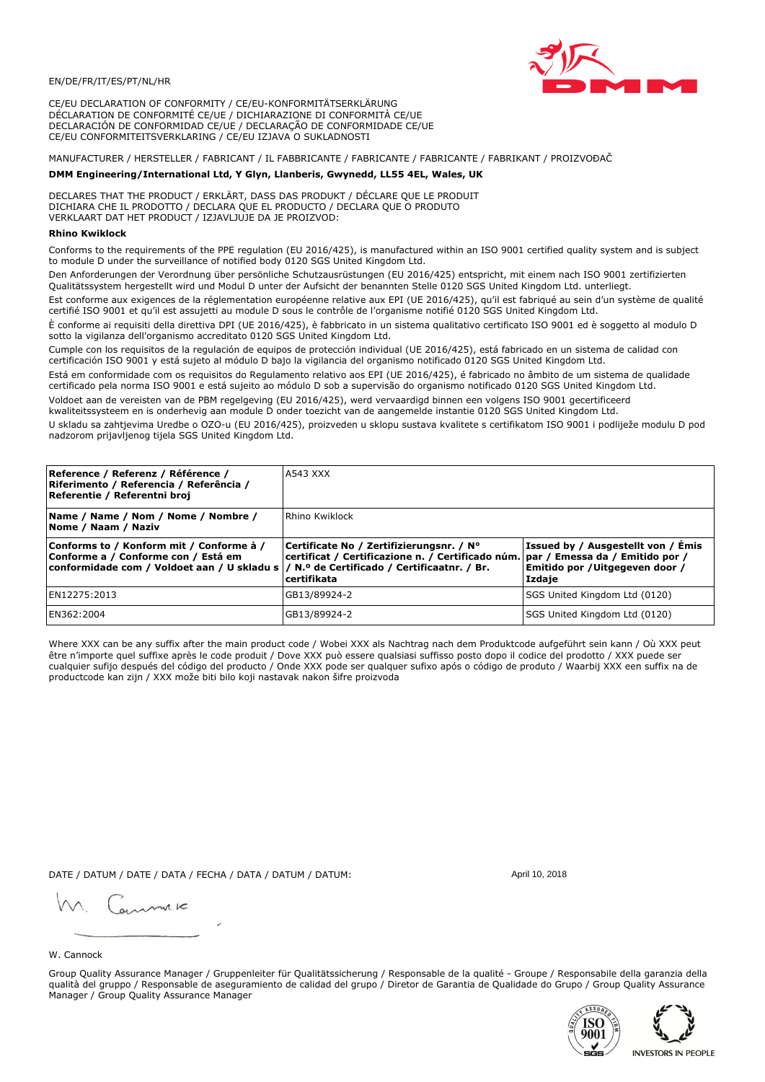

CE/EU DECLARATION OF CONFORMITY / CE/EU-KONFORMITÄTSERKLÄRUNG DÉCLARATION DE CONFORMITÉ CE/UE / DICHIARAZIONE DI CONFORMITÀ CE/UE DECLARACIÓN DE CONFORMIDAD CE/UE / DECLARAÇÃO DE CONFORMIDADE CE/UE CE/EU CONFORMITEITSVERKLARING / CE/EU IZJAVA O SUKLADNOSTI

# MANUFACTURER / HERSTELLER / FABRICANT / IL FABBRICANTE / FABRICANTE / FABRICANTE / FABRIKANT / PROIZVOĐAČ

# DMM Engineering/International Ltd, Y Glyn, Llanberis, Gwynedd, LL55 4EL, Wales, UK

DECLARES THAT THE PRODUCT / ERKLÄRT, DASS DAS PRODUKT / DÉCLARE QUE LE PRODUIT<br>DICHIARA CHE IL PRODOTTO / DECLARA QUE EL PRODUCTO / DECLARA QUE O PRODUTO VERKLAART DAT HET PRODUCT / IZJAVLJUJE DA JE PROIZVOD:

### **Rhino Kwiklock**

Conforms to the requirements of the PPE regulation (EU 2016/425), is manufactured within an ISO 9001 certified quality system and is subject to module D under the surveillance of notified body 0120 SGS United Kingdom Ltd.

Den Anforderungen der Verordnung über persönliche Schutzausrüstungen (EU 2016/425) entspricht, mit einem nach ISO 9001 zertifizierten Qualitätssystem hergestellt wird und Modul D unter der Aufsicht der benannten Stelle 0120 SGS United Kingdom Ltd. unterliegt.

Est conforme aux exigences de la réglementation européenne relative aux EPI (UE 2016/425), qu'il est fabriqué au sein d'un système de qualité certifié ISO 9001 et qu'il est assujetti au module D sous le contrôle de l'organisme notifié 0120 SGS United Kingdom Ltd.

È conforme ai requisiti della direttiva DPI (UE 2016/425), è fabbricato in un sistema qualitativo certificato ISO 9001 ed è soggetto al modulo D sotto la vigilanza dell'organismo accreditato 0120 SGS United Kingdom Ltd.

Cumple con los requisitos de la regulación de equipos de protección individual (UE 2016/425), está fabricado en un sistema de calidad con certificación ISO 9001 y está sujeto al módulo D bajo la vigilancia del organismo notificado 0120 SGS United Kingdom Ltd.

Está em conformidade com os requisitos do Regulamento relativo aos EPI (UE 2016/425), é fabricado no âmbito de um sistema de qualidade certificado pela norma ISO 9001 e está sujeito ao módulo D sob a supervisão do organismo notificado 0120 SGS United Kingdom Ltd. Voldoet aan de vereisten van de PBM regelgeving (EU 2016/425), werd vervaardigd binnen een volgens ISO 9001 gecertificeerd

kwaliteitssysteem en is onderhevig aan module D onder toezicht van de aangemelde instantie 0120 SGS United Kingdom Ltd.

U skladu sa zahtjevima Uredbe o OZO-u (EU 2016/425), proizveden u sklopu sustava kvalitete s certifikatom ISO 9001 i podliježe modulu D pod nadzorom prijavljenog tijela SGS United Kingdom Ltd.

| Reference / Referenz / Référence /<br>Riferimento / Referencia / Referência /<br>Referentie / Referentni broj                                                              | <b>A543 XXX</b>                                                                                                                              |                                                                                 |  |
|----------------------------------------------------------------------------------------------------------------------------------------------------------------------------|----------------------------------------------------------------------------------------------------------------------------------------------|---------------------------------------------------------------------------------|--|
| Name / Name / Nom / Nome / Nombre /<br>Nome / Naam / Naziv                                                                                                                 | Rhino Kwiklock                                                                                                                               |                                                                                 |  |
| Conforms to / Konform mit / Conforme à /<br>Conforme a / Conforme con / Está em<br>conformidade com / Voldoet aan / U skladu s / N.º de Certificado / Certificaatnr. / Br. | Certificate No / Zertifizierungsnr. / N°<br>certificat / Certificazione n. / Certificado núm. par / Emessa da / Emitido por /<br>certifikata | Issued by / Ausgestellt von / Émis<br>Emitido por / Uitgegeven door /<br>Izdaje |  |
| EN12275:2013                                                                                                                                                               | GB13/89924-2                                                                                                                                 | SGS United Kingdom Ltd (0120)                                                   |  |
| EN362:2004                                                                                                                                                                 | GB13/89924-2                                                                                                                                 | SGS United Kingdom Ltd (0120)                                                   |  |

Where XXX can be any suffix after the main product code / Wobei XXX als Nachtrag nach dem Produktcode aufgeführt sein kann / Où XXX peut être n'importe quel suffixe après le code produit / Dove XXX può essere qualsiasi suffisso posto dopo il codice del prodotto / XXX puede ser cualquier sufijo después del código del producto / Onde XXX pode ser qualquer sufixo após o código de produto / Waarbij XXX een suffix na de productcode kan zijn / XXX može biti bilo koji nastavak nakon šifre proizvoda

DATE / DATUM / DATE / DATA / FECHA / DATA / DATUM / DATUM:

gimmic

April 10, 2018

### W. Cannock

Group Quality Assurance Manager / Gruppenleiter für Qualitätssicherung / Responsable de la qualité - Groupe / Responsabile della garanzia della qualità del gruppo / Responsable de aseguramiento de calidad del grupo / Diretor de Garantia de Qualidade do Grupo / Group Quality Assurance Manager / Group Quality Assurance Manager



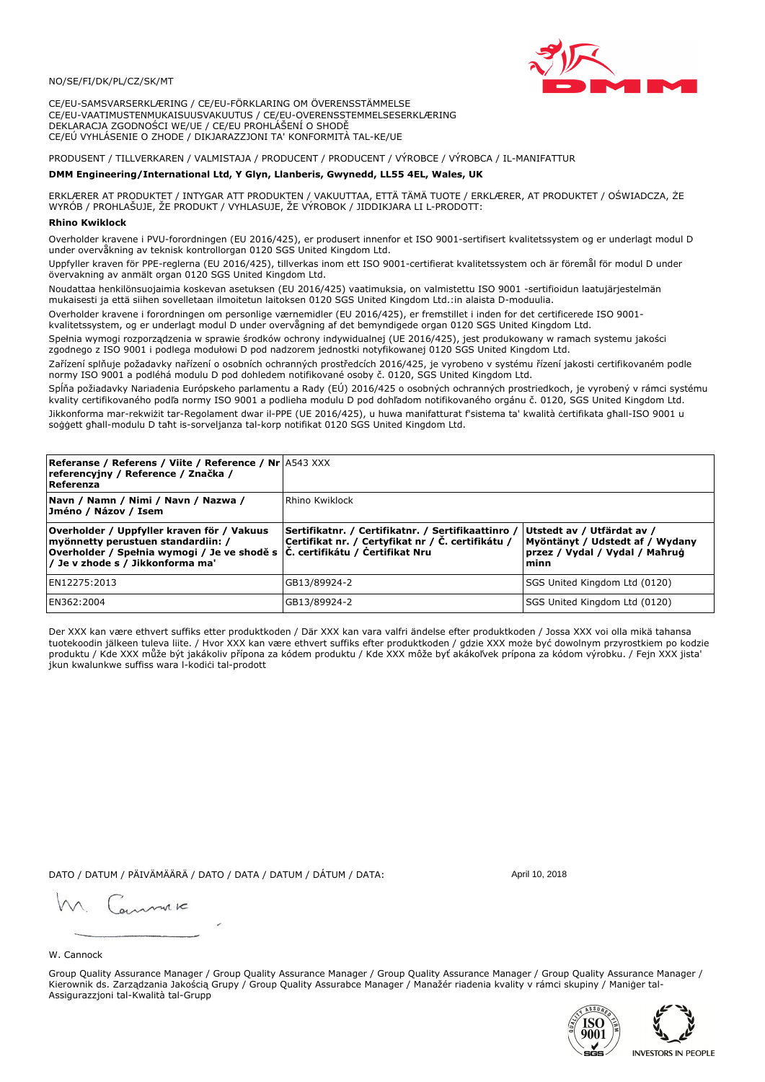## NO/SE/FI/DK/PL/CZ/SK/MT

CE/EU-SAMSVARSERKLÆRING / CE/EU-FÖRKLARING OM ÖVERENSSTÄMMELSE CE/EU-VAATIMUSTENMUKAISUUSVAKUUTUS / CE/EU-OVERENSSTEMMELSESERKLÆRING DEKLARACJA ZGODNOŚCI WE/UE / CE/EU PROHLÁŠENÍ O SHODĚ CE/EÚ VYHLÁSENIE O ZHODE / DIKJARAZZJONI TA' KONFORMITÀ TAL-KE/UE

# PRODUSENT / TILLVERKAREN / VALMISTAJA / PRODUCENT / PRODUCENT / VÝROBCE / VÝROBCA / IL-MANIFATTUR

### DMM Engineering/International Ltd, Y Glyn, Llanberis, Gwynedd, LL55 4EL, Wales, UK

ERKLÆRER AT PRODUKTET / INTYGAR ATT PRODUKTEN / VAKUUTTAA, ETTÄ TÄMÄ TUOTE / ERKLÆRER, AT PRODUKTET / OŚWIADCZA, ŻE<br>WYRÓB / PROHLAŠUJE, ŽE PRODUKT / VYHLASUJE, ŽE VÝROBOK / JIDDIKJARA LI L-PRODOTT:

Overholder kravene i PVU-forordningen (EU 2016/425), er produsert innenfor et ISO 9001-sertifisert kvalitetssystem og er underlagt modul D<br>under overvåkning av teknisk kontrollorgan 0120 SGS United Kingdom Ltd.

Uppfyller kraven för PPE-reglerna (EU 2016/425), tillverkas inom ett ISO 9001-certifierat kvalitetssystem och är föremål för modul D under övervakning av anmält organ 0120 SGS United Kingdom Ltd.

Noudattaa henkilönsuojaimia koskevan asetuksen (EU 2016/425) vaatimuksia, on valmistettu ISO 9001 -sertifioidun laatujärjestelmän mukaisesti ja että siihen sovelletaan ilmoitetun laitoksen 0120 SGS United Kingdom Ltd.:in alaista D-moduulia.

Overholder kravene i forordningen om personlige værnemidler (EU 2016/425), er fremstillet i inden for det certificerede ISO 9001kvalitetssystem, og er underlagt modul D under overvågning af det bemyndigede organ 0120 SGS United Kingdom Ltd.

Spełnia wymogi rozporządzenia w sprawie środków ochrony indywidualnej (UE 2016/425), jest produkowany w ramach systemu jakości zgodnego z ISO 9001 i podlega modułowi D pod nadzorem jednostki notyfikowanej 0120 SGS United Kingdom Ltd.

Zařízení splňuje požadavky nařízení o osobních ochranných prostředcích 2016/425, je vyrobeno v systému řízení jakosti certifikovaném podle normy ISO 9001 a podléhá modulu D pod dohledem notifikované osoby č. 0120, SGS United Kingdom Ltd.

Spĺňa požiadavky Nariadenia Európskeho parlamentu a Rady (EÚ) 2016/425 o osobných ochranných prostriedkoch, je vyrobený v rámci systému kvality certifikovaného podľa normy ISO 9001 a podlieha modulu D pod dohľadom notifikovaného orgánu č. 0120, SGS Únited Kingdom Ltd. Jikkonforma mar-rekwiżit tar-Regolament dwar il-PPE (UE 2016/425), u huwa manifatturat f'sistema ta' kwalità certifikata għall-ISO 9001 u soggett ghall-modulu D taht is-sorveljanza tal-korp notifikat 0120 SGS United Kingdom Ltd.

| <b>Referanse / Referens / Viite / Reference / Nr</b> 4543 XXX<br>referencyjny / Reference / Značka /<br>Referenza                                                                                                 |                                                                                                         |                                                                                                         |
|-------------------------------------------------------------------------------------------------------------------------------------------------------------------------------------------------------------------|---------------------------------------------------------------------------------------------------------|---------------------------------------------------------------------------------------------------------|
| Navn / Namn / Nimi / Navn / Nazwa /<br>Jméno / Názov / Isem                                                                                                                                                       | l Rhino Kwiklock                                                                                        |                                                                                                         |
| Overholder / Uppfyller kraven för / Vakuus<br>myönnetty perustuen standardiin: /<br> Overholder / Spełnia wymogi / Je ve shodě s $ \tilde{C} $ . certifikátu / Čertifikat Nru<br>/ Je v zhode s / Jikkonforma ma' | Sertifikatnr. / Certifikatnr. / Sertifikaattinro /<br>Certifikat nr. / Certyfikat nr / Č. certifikátu / | Utstedt av / Utfärdat av /<br>Myöntänyt / Udstedt af / Wydany<br>przez / Vydal / Vydal / Mahrug<br>minn |
| EN12275:2013                                                                                                                                                                                                      | GB13/89924-2                                                                                            | SGS United Kingdom Ltd (0120)                                                                           |
| EN362:2004                                                                                                                                                                                                        | GB13/89924-2                                                                                            | SGS United Kingdom Ltd (0120)                                                                           |

Der XXX kan være ethvert suffiks etter produktkoden / Där XXX kan vara valfri ändelse efter produktkoden / Jossa XXX voi olla mikä tahansa tuotekoodin jälkeen tuleva liite. / Hvor XXX kan være ethvert suffiks efter produktkoden / gdzie XXX može być dowolnym przyrostkiem po kodzie<br>produktu / Kde XXX může být jakákoliv přípona za kódem produktu / Kde XXX môže b jkun kwalunkwe suffiss wara l-kodići tal-prodott

DATO / DATUM / PÄIVÄMÄÄRÄ / DATO / DATA / DATUM / DÁTUM / DATA:

April 10, 2018

annuic

### W. Cannock

Group Quality Assurance Manager / Group Quality Assurance Manager / Group Quality Assurance Manager / Group Quality Assurance Manager / Kierownik ds. Zarządzania Jakością Grupy / Group Quality Assurabce Manager / Manažér riadenia kvality v rámci skupiny / Maniger tal-Assigurazzjoni tal-Kwalità tal-Grupp